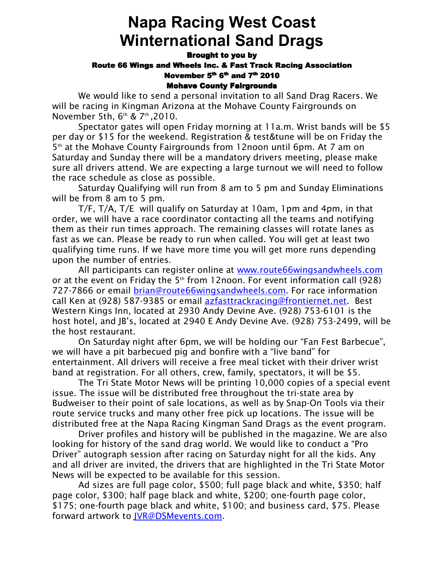# **Napa Racing West Coast Winternational Sand Drags**

#### Brought to you by

### Route 66 Wings and Wheels Inc. & Fast Track Racing Association November 5<sup>th</sup> 6<sup>th</sup> and 7<sup>th</sup> 2010

#### Mohave County Fairgrounds

 We would like to send a personal invitation to all Sand Drag Racers. We will be racing in Kingman Arizona at the Mohave County Fairgrounds on November 5th,  $6<sup>th</sup>$  &  $7<sup>th</sup>$ , 2010.

Spectator gates will open Friday morning at 11a.m. Wrist bands will be \$5 per day or \$15 for the weekend. Registration & test&tune will be on Friday the 5<sup>th</sup> at the Mohave County Fairgrounds from 12noon until 6pm. At 7 am on Saturday and Sunday there will be a mandatory drivers meeting, please make sure all drivers attend. We are expecting a large turnout we will need to follow the race schedule as close as possible.

Saturday Qualifying will run from 8 am to 5 pm and Sunday Eliminations will be from 8 am to 5 pm.

T/F, T/A, T/E will qualify on Saturday at 10am, 1pm and 4pm, in that order, we will have a race coordinator contacting all the teams and notifying them as their run times approach. The remaining classes will rotate lanes as fast as we can. Please be ready to run when called. You will get at least two qualifying time runs. If we have more time you will get more runs depending upon the number of entries.

 All participants can register online at www.route66wingsandwheels.com or at the event on Friday the  $5<sup>th</sup>$  from 12noon. For event information call (928) 727-7866 or email *brian@route66wingsandwheels.com*. For race information call Ken at (928) 587-9385 or email azfasttrackracing@frontiernet.net. Best Western Kings Inn, located at 2930 Andy Devine Ave. (928) 753-6101 is the host hotel, and JB's, located at 2940 E Andy Devine Ave. (928) 753-2499, will be the host restaurant.

On Saturday night after 6pm, we will be holding our "Fan Fest Barbecue", we will have a pit barbecued pig and bonfire with a "live band" for entertainment. All drivers will receive a free meal ticket with their driver wrist band at registration. For all others, crew, family, spectators, it will be \$5.

The Tri State Motor News will be printing 10,000 copies of a special event issue. The issue will be distributed free throughout the tri-state area by Budweiser to their point of sale locations, as well as by Snap-On Tools via their route service trucks and many other free pick up locations. The issue will be distributed free at the Napa Racing Kingman Sand Drags as the event program.

Driver profiles and history will be published in the magazine. We are also looking for history of the sand drag world. We would like to conduct a "Pro Driver" autograph session after racing on Saturday night for all the kids. Any and all driver are invited, the drivers that are highlighted in the Tri State Motor News will be expected to be available for this session.

Ad sizes are full page color, \$500; full page black and white, \$350; half page color, \$300; half page black and white, \$200; one-fourth page color, \$175; one-fourth page black and white, \$100; and business card, \$75. Please forward artwork to JVR@DSMevents.com.